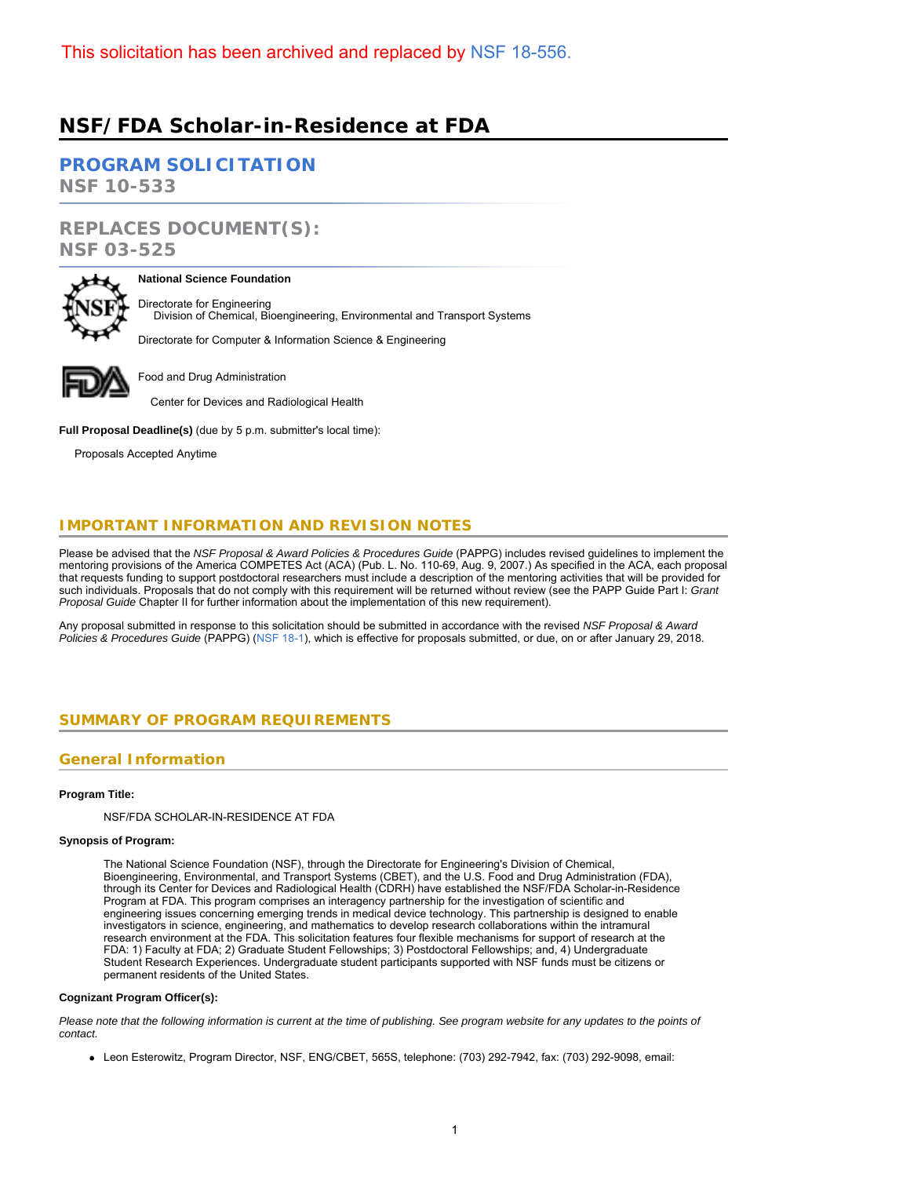# **NSF/FDA Scholar-in-Residence at FDA**

**[PROGRAM SOLICITATION](#page-2-0)**

**NSF 10-533**

# **REPLACES DOCUMENT(S): NSF 03-525**



# **National Science Foundation**

Directorate for Engineering Division of Chemical, Bioengineering, Environmental and Transport Systems

Directorate for Computer & Information Science & Engineering



Food and Drug Administration

Center for Devices and Radiological Health

**Full Proposal Deadline(s)** (due by 5 p.m. submitter's local time):

Proposals Accepted Anytime

# **IMPORTANT INFORMATION AND REVISION NOTES**

Please be advised that the *NSF Proposal & Award Policies & Procedures Guide* (PAPPG) includes revised guidelines to implement the mentoring provisions of the America COMPETES Act (ACA) (Pub. L. No. 110-69, Aug. 9, 2007.) As specified in the ACA, each proposal that requests funding to support postdoctoral researchers must include a description of the mentoring activities that will be provided for such individuals. Proposals that do not comply with this requirement will be returned without review (see the PAPP Guide Part I: *Grant Proposal Guide* Chapter II for further information about the implementation of this new requirement).

<span id="page-0-0"></span>Any proposal submitted in response to this solicitation should be submitted in accordance with the revised *NSF Proposal & Award Policies & Procedures Guide* (PAPPG) ([NSF 18-1\)](https://www.nsf.gov/publications/pub_summ.jsp?ods_key=nsf18001), which is effective for proposals submitted, or due, on or after January 29, 2018.

# **SUMMARY OF PROGRAM REQUIREMENTS**

# **General Information**

### **Program Title:**

NSF/FDA SCHOLAR-IN-RESIDENCE AT FDA

#### **Synopsis of Program:**

The National Science Foundation (NSF), through the Directorate for Engineering's Division of Chemical, Bioengineering, Environmental, and Transport Systems (CBET), and the U.S. Food and Drug Administration (FDA), through its Center for Devices and Radiological Health (CDRH) have established the NSF/FDA Scholar-in-Residence Program at FDA. This program comprises an interagency partnership for the investigation of scientific and engineering issues concerning emerging trends in medical device technology. This partnership is designed to enable investigators in science, engineering, and mathematics to develop research collaborations within the intramural research environment at the FDA. This solicitation features four flexible mechanisms for support of research at the FDA: 1) Faculty at FDA; 2) Graduate Student Fellowships; 3) Postdoctoral Fellowships; and, 4) Undergraduate Student Research Experiences. Undergraduate student participants supported with NSF funds must be citizens or permanent residents of the United States.

#### **Cognizant Program Officer(s):**

*Please note that the following information is current at the time of publishing. See program website for any updates to the points of contact.*

Leon Esterowitz, Program Director, NSF, ENG/CBET, 565S, telephone: (703) 292-7942, fax: (703) 292-9098, email: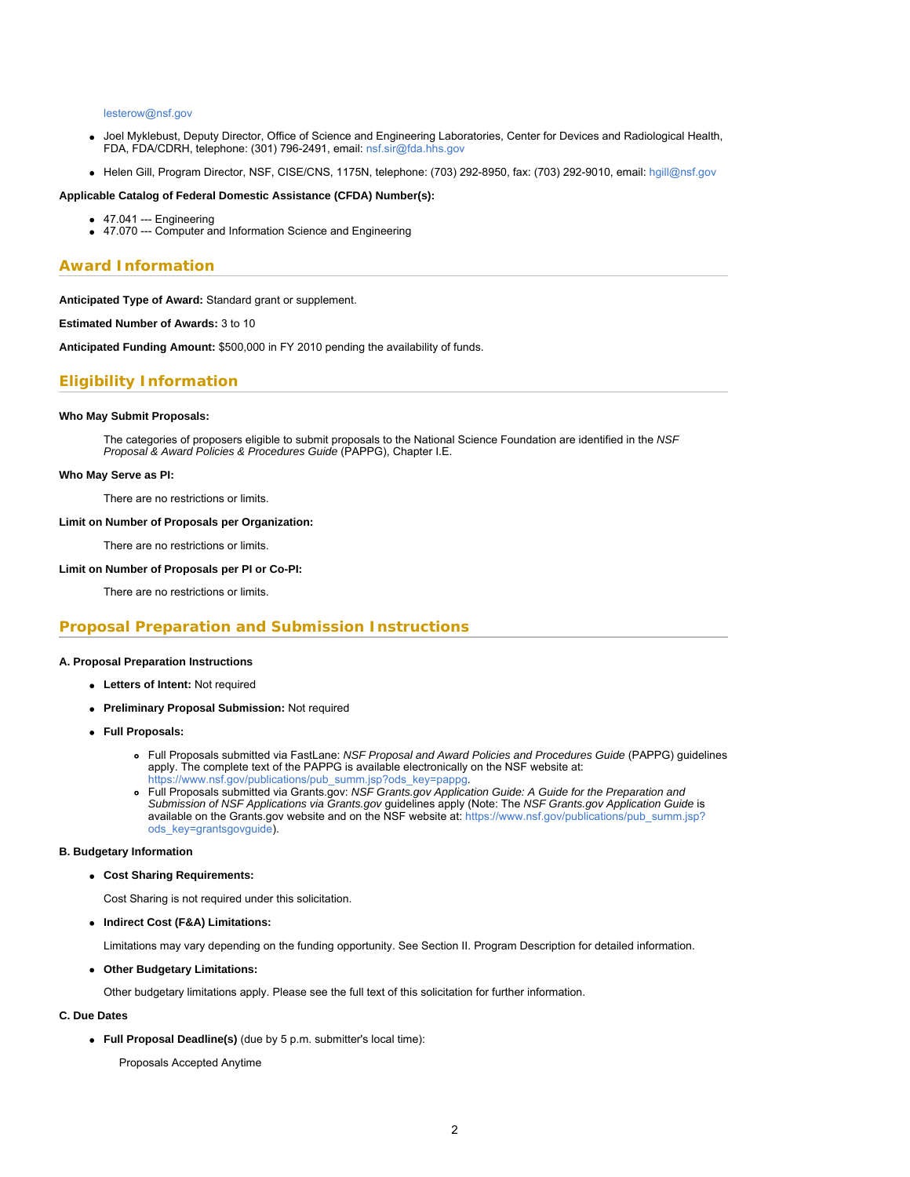#### [lesterow@nsf.gov](mailto:lesterow@nsf.gov)

- Joel Myklebust, Deputy Director, Office of Science and Engineering Laboratories, Center for Devices and Radiological Health, FDA, FDA/CDRH, telephone: (301) 796-2491, email: [nsf.sir@fda.hhs.gov](mailto:nsf.sir@fda.hhs.gov)
- Helen Gill, Program Director, NSF, CISE/CNS, 1175N, telephone: (703) 292-8950, fax: (703) 292-9010, email: [hgill@nsf.gov](mailto:hgill@nsf.gov)

**Applicable Catalog of Federal Domestic Assistance (CFDA) Number(s):**

- $47.041 -- Engineering$
- 47.070 --- Computer and Information Science and Engineering

### **Award Information**

**Anticipated Type of Award:** Standard grant or supplement.

#### **Estimated Number of Awards:** 3 to 10

**Anticipated Funding Amount:** \$500,000 in FY 2010 pending the availability of funds.

### **Eligibility Information**

#### **Who May Submit Proposals:**

The categories of proposers eligible to submit proposals to the National Science Foundation are identified in the *NSF Proposal & Award Policies & Procedures Guide* (PAPPG), Chapter I.E.

#### **Who May Serve as PI:**

There are no restrictions or limits.

#### **Limit on Number of Proposals per Organization:**

There are no restrictions or limits.

#### **Limit on Number of Proposals per PI or Co-PI:**

There are no restrictions or limits.

### **Proposal Preparation and Submission Instructions**

#### **A. Proposal Preparation Instructions**

- **Letters of Intent:** Not required
- **Preliminary Proposal Submission:** Not required
- **Full Proposals:**
	- Full Proposals submitted via FastLane: *NSF Proposal and Award Policies and Procedures Guide* (PAPPG) guidelines apply. The complete text of the PAPPG is available electronically on the NSF website at: [https://www.nsf.gov/publications/pub\\_summ.jsp?ods\\_key=pappg.](https://www.nsf.gov/publications/pub_summ.jsp?ods_key=pappg)
	- Full Proposals submitted via Grants.gov: *NSF Grants.gov Application Guide: A Guide for the Preparation and Submission of NSF Applications via Grants.gov* guidelines apply (Note: The *NSF Grants.gov Application Guide* is available on the Grants.gov website and on the NSF website at: [https://www.nsf.gov/publications/pub\\_summ.jsp?](https://www.nsf.gov/publications/pub_summ.jsp?ods_key=grantsgovguide) [ods\\_key=grantsgovguide](https://www.nsf.gov/publications/pub_summ.jsp?ods_key=grantsgovguide)).

#### **B. Budgetary Information**

**Cost Sharing Requirements:**

Cost Sharing is not required under this solicitation.

**Indirect Cost (F&A) Limitations:**

Limitations may vary depending on the funding opportunity. See Section II. Program Description for detailed information.

**Other Budgetary Limitations:**

Other budgetary limitations apply. Please see the full text of this solicitation for further information.

### **C. Due Dates**

**Full Proposal Deadline(s)** (due by 5 p.m. submitter's local time):

Proposals Accepted Anytime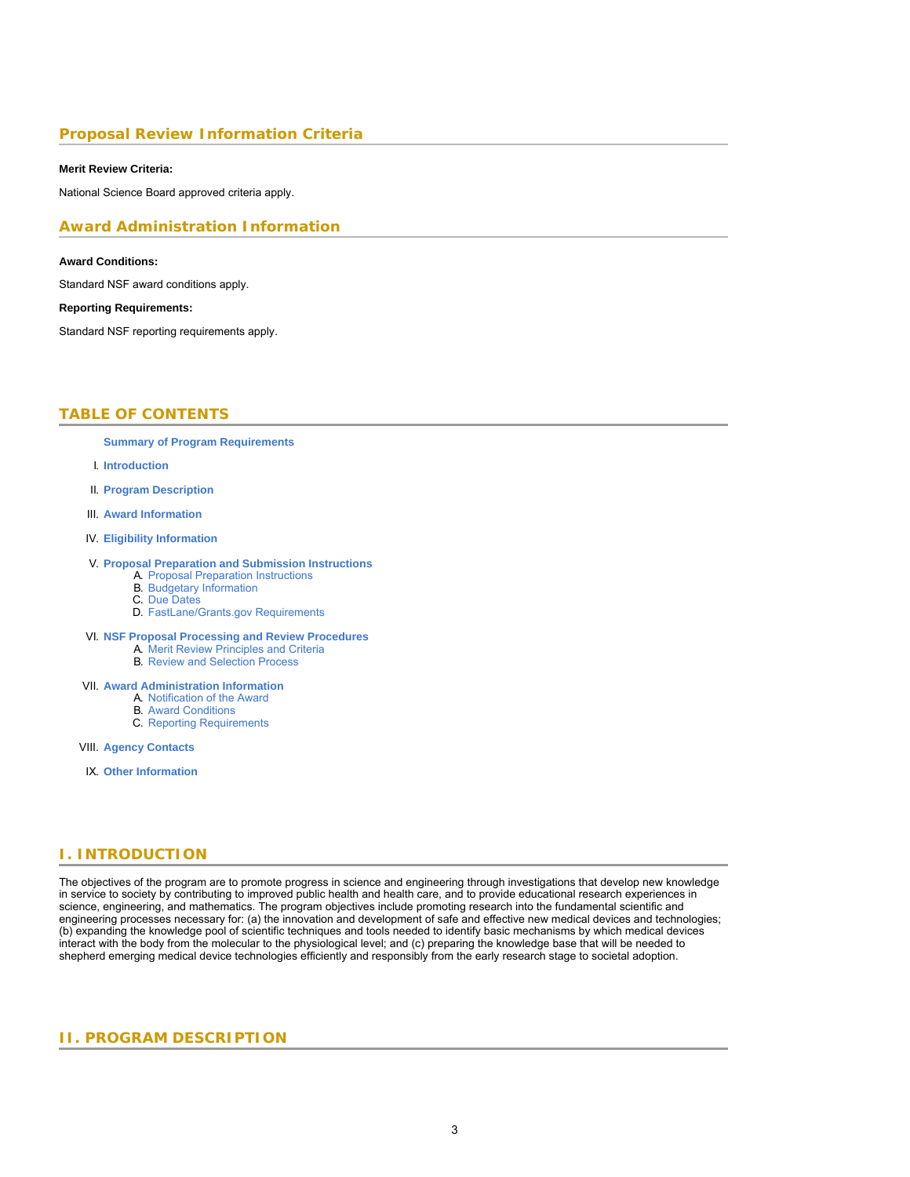## **Proposal Review Information Criteria**

#### **Merit Review Criteria:**

National Science Board approved criteria apply.

### **Award Administration Information**

#### **Award Conditions:**

Standard NSF award conditions apply.

#### **Reporting Requirements:**

<span id="page-2-0"></span>Standard NSF reporting requirements apply.

### **TABLE OF CONTENTS**

- **[Summary of Program Requirements](#page-0-0)**
- I. **[Introduction](#page-2-1)**
- II. **[Program Description](#page-2-2)**
- III. **[Award Information](#page-3-0)**
- IV. **[Eligibility Information](#page-3-1)**

#### V. **[Proposal Preparation and Submission Instructions](#page-4-0)**

- A. [Proposal Preparation Instructions](#page-4-0)
- B. [Budgetary Information](#page-4-1) C. [Due Dates](#page-5-0)
- D. [FastLane/Grants.gov Requirements](#page-5-1)

#### VI. **[NSF Proposal Processing and Review Procedures](#page-5-2)**

- A. [Merit Review Principles and Criteria](#page-6-0)
- B. [Review and Selection Process](#page-7-0)

#### VII. **[Award Administration Information](#page-7-1)**

- A. [Notification of the Award](#page-7-2)
	- B. [Award Conditions](#page-7-3)
- C. [Reporting Requirements](#page-8-0)
- <span id="page-2-1"></span>VIII. **[Agency Contacts](#page-8-1)**
- IX. **[Other Information](#page-8-2)**

### **I. INTRODUCTION**

The objectives of the program are to promote progress in science and engineering through investigations that develop new knowledge in service to society by contributing to improved public health and health care, and to provide educational research experiences in science, engineering, and mathematics. The program objectives include promoting research into the fundamental scientific and engineering processes necessary for: (a) the innovation and development of safe and effective new medical devices and technologies; (b) expanding the knowledge pool of scientific techniques and tools needed to identify basic mechanisms by which medical devices interact with the body from the molecular to the physiological level; and (c) preparing the knowledge base that will be needed to shepherd emerging medical device technologies efficiently and responsibly from the early research stage to societal adoption.

### <span id="page-2-2"></span>**II. PROGRAM DESCRIPTION**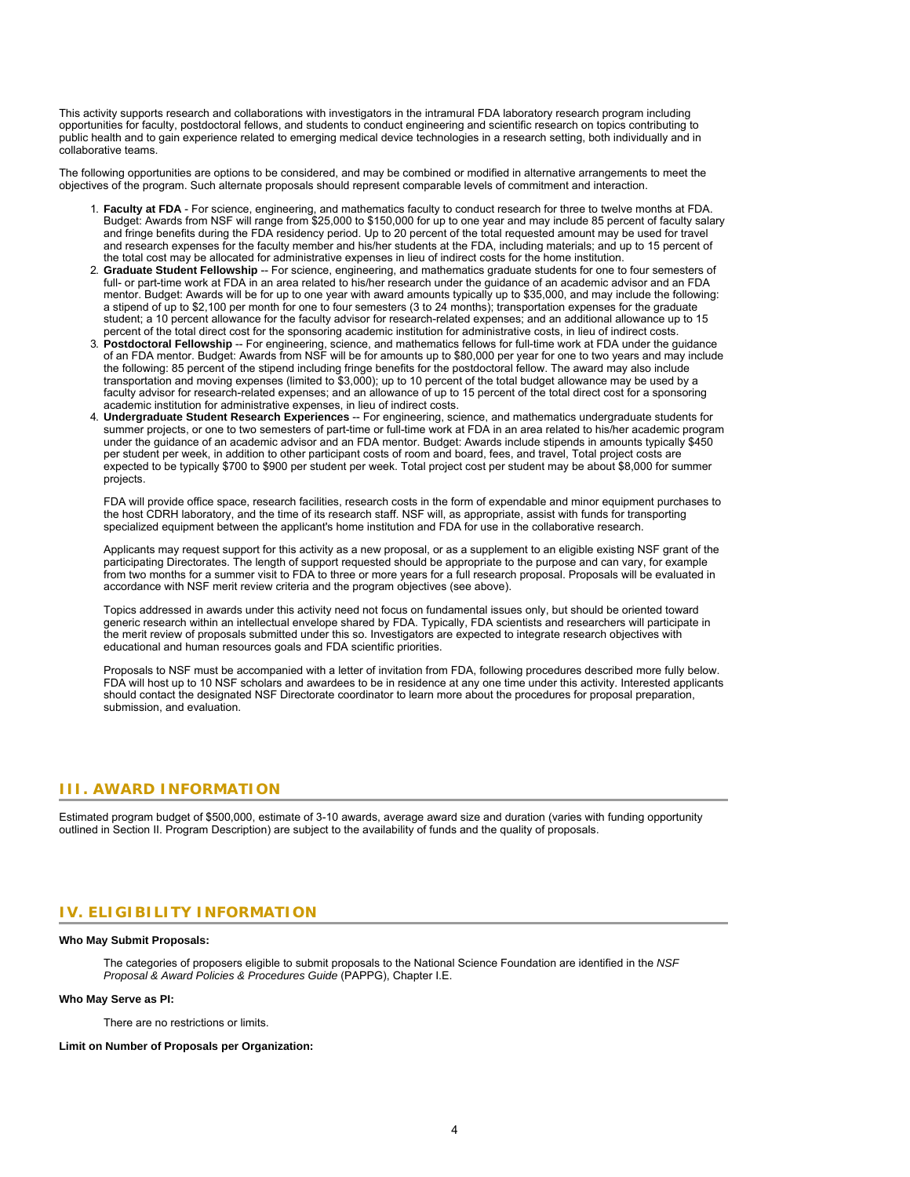This activity supports research and collaborations with investigators in the intramural FDA laboratory research program including opportunities for faculty, postdoctoral fellows, and students to conduct engineering and scientific research on topics contributing to public health and to gain experience related to emerging medical device technologies in a research setting, both individually and in collaborative teams.

The following opportunities are options to be considered, and may be combined or modified in alternative arrangements to meet the objectives of the program. Such alternate proposals should represent comparable levels of commitment and interaction.

- 1. **Faculty at FDA** For science, engineering, and mathematics faculty to conduct research for three to twelve months at FDA. Budget: Awards from NSF will range from \$25,000 to \$150,000 for up to one year and may include 85 percent of faculty salary and fringe benefits during the FDA residency period. Up to 20 percent of the total requested amount may be used for travel and research expenses for the faculty member and his/her students at the FDA, including materials; and up to 15 percent of the total cost may be allocated for administrative expenses in lieu of indirect costs for the home institution.
- 2. **Graduate Student Fellowship** -- For science, engineering, and mathematics graduate students for one to four semesters of full- or part-time work at FDA in an area related to his/her research under the guidance of an academic advisor and an FDA mentor. Budget: Awards will be for up to one year with award amounts typically up to \$35,000, and may include the following: a stipend of up to \$2,100 per month for one to four semesters (3 to 24 months); transportation expenses for the graduate student; a 10 percent allowance for the faculty advisor for research-related expenses; and an additional allowance up to 15 percent of the total direct cost for the sponsoring academic institution for administrative costs, in lieu of indirect costs.
- 3. **Postdoctoral Fellowship** -- For engineering, science, and mathematics fellows for full-time work at FDA under the guidance of an FDA mentor. Budget: Awards from NSF will be for amounts up to \$80,000 per year for one to two years and may include the following: 85 percent of the stipend including fringe benefits for the postdoctoral fellow. The award may also include transportation and moving expenses (limited to \$3,000); up to 10 percent of the total budget allowance may be used by a faculty advisor for research-related expenses; and an allowance of up to 15 percent of the total direct cost for a sponsoring academic institution for administrative expenses, in lieu of indirect costs.
- 4. **Undergraduate Student Research Experiences** -- For engineering, science, and mathematics undergraduate students for summer projects, or one to two semesters of part-time or full-time work at FDA in an area related to his/her academic program under the guidance of an academic advisor and an FDA mentor. Budget: Awards include stipends in amounts typically \$450 per student per week, in addition to other participant costs of room and board, fees, and travel, Total project costs are expected to be typically \$700 to \$900 per student per week. Total project cost per student may be about \$8,000 for summer projects.

FDA will provide office space, research facilities, research costs in the form of expendable and minor equipment purchases to the host CDRH laboratory, and the time of its research staff. NSF will, as appropriate, assist with funds for transporting specialized equipment between the applicant's home institution and FDA for use in the collaborative research.

Applicants may request support for this activity as a new proposal, or as a supplement to an eligible existing NSF grant of the participating Directorates. The length of support requested should be appropriate to the purpose and can vary, for example from two months for a summer visit to FDA to three or more years for a full research proposal. Proposals will be evaluated in accordance with NSF merit review criteria and the program objectives (see above).

Topics addressed in awards under this activity need not focus on fundamental issues only, but should be oriented toward generic research within an intellectual envelope shared by FDA. Typically, FDA scientists and researchers will participate in the merit review of proposals submitted under this so. Investigators are expected to integrate research objectives with educational and human resources goals and FDA scientific priorities.

Proposals to NSF must be accompanied with a letter of invitation from FDA, following procedures described more fully below. FDA will host up to 10 NSF scholars and awardees to be in residence at any one time under this activity. Interested applicants should contact the designated NSF Directorate coordinator to learn more about the procedures for proposal preparation, submission, and evaluation.

# <span id="page-3-0"></span>**III. AWARD INFORMATION**

<span id="page-3-1"></span>Estimated program budget of \$500,000, estimate of 3-10 awards, average award size and duration (varies with funding opportunity outlined in Section II. Program Description) are subject to the availability of funds and the quality of proposals.

# **IV. ELIGIBILITY INFORMATION**

#### **Who May Submit Proposals:**

The categories of proposers eligible to submit proposals to the National Science Foundation are identified in the *NSF Proposal & Award Policies & Procedures Guide* (PAPPG), Chapter I.E.

#### **Who May Serve as PI:**

There are no restrictions or limits.

**Limit on Number of Proposals per Organization:**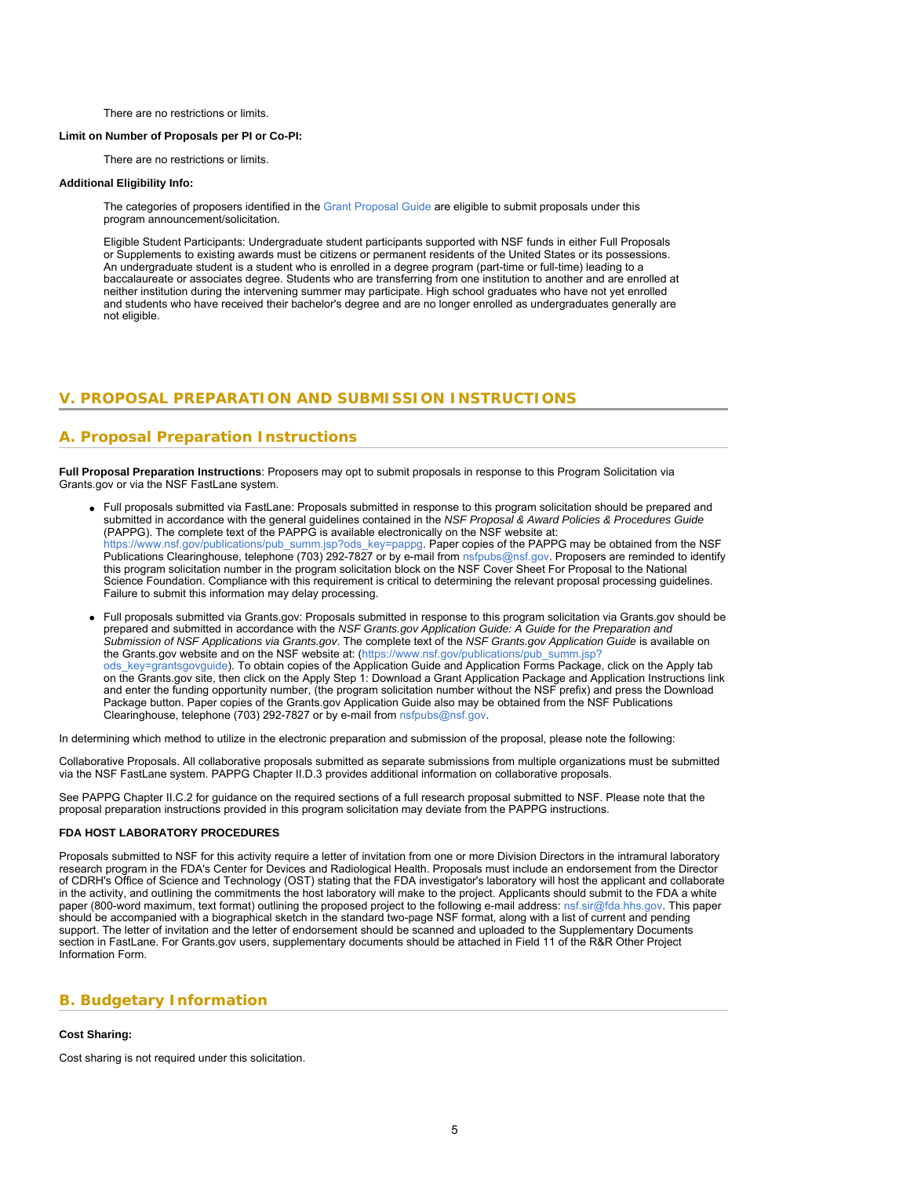There are no restrictions or limits.

#### **Limit on Number of Proposals per PI or Co-PI:**

There are no restrictions or limits.

#### **Additional Eligibility Info:**

The categories of proposers identified in the [Grant Proposal Guide](https://www.nsf.gov/pubs/2001/nsf012/nsf0102_1.html#whomaysubmit) are eligible to submit proposals under this program announcement/solicitation.

Eligible Student Participants: Undergraduate student participants supported with NSF funds in either Full Proposals or Supplements to existing awards must be citizens or permanent residents of the United States or its possessions. An undergraduate student is a student who is enrolled in a degree program (part-time or full-time) leading to a baccalaureate or associates degree. Students who are transferring from one institution to another and are enrolled at neither institution during the intervening summer may participate. High school graduates who have not yet enrolled and students who have received their bachelor's degree and are no longer enrolled as undergraduates generally are not eligible.

## <span id="page-4-0"></span>**V. PROPOSAL PREPARATION AND SUBMISSION INSTRUCTIONS**

## **A. Proposal Preparation Instructions**

**Full Proposal Preparation Instructions**: Proposers may opt to submit proposals in response to this Program Solicitation via Grants.gov or via the NSF FastLane system.

- Full proposals submitted via FastLane: Proposals submitted in response to this program solicitation should be prepared and submitted in accordance with the general guidelines contained in the *NSF Proposal & Award Policies & Procedures Guide* (PAPPG). The complete text of the PAPPG is available electronically on the NSF website at: [https://www.nsf.gov/publications/pub\\_summ.jsp?ods\\_key=pappg.](https://www.nsf.gov/publications/pub_summ.jsp?ods_key=pappg) Paper copies of the PAPPG may be obtained from the NSF Publications Clearinghouse, telephone (703) 292-7827 or by e-mail from [nsfpubs@nsf.gov](mailto:nsfpubs@nsf.gov). Proposers are reminded to identify this program solicitation number in the program solicitation block on the NSF Cover Sheet For Proposal to the National Science Foundation. Compliance with this requirement is critical to determining the relevant proposal processing guidelines. Failure to submit this information may delay processing.
- Full proposals submitted via Grants.gov: Proposals submitted in response to this program solicitation via Grants.gov should be prepared and submitted in accordance with the *NSF Grants.gov Application Guide: A Guide for the Preparation and Submission of NSF Applications via Grants.gov*. The complete text of the *NSF Grants.gov Application Guide* is available on the Grants.gov website and on the NSF website at: [\(https://www.nsf.gov/publications/pub\\_summ.jsp?](https://www.nsf.gov/publications/pub_summ.jsp?ods_key=grantsgovguide) [ods\\_key=grantsgovguide](https://www.nsf.gov/publications/pub_summ.jsp?ods_key=grantsgovguide)). To obtain copies of the Application Guide and Application Forms Package, click on the Apply tab on the Grants.gov site, then click on the Apply Step 1: Download a Grant Application Package and Application Instructions link and enter the funding opportunity number, (the program solicitation number without the NSF prefix) and press the Download Package button. Paper copies of the Grants.gov Application Guide also may be obtained from the NSF Publications Clearinghouse, telephone (703) 292-7827 or by e-mail from [nsfpubs@nsf.gov](mailto:nsfpubs@nsf.gov).

In determining which method to utilize in the electronic preparation and submission of the proposal, please note the following:

Collaborative Proposals. All collaborative proposals submitted as separate submissions from multiple organizations must be submitted via the NSF FastLane system. PAPPG Chapter II.D.3 provides additional information on collaborative proposals.

See PAPPG Chapter II.C.2 for guidance on the required sections of a full research proposal submitted to NSF. Please note that the proposal preparation instructions provided in this program solicitation may deviate from the PAPPG instructions.

#### **FDA HOST LABORATORY PROCEDURES**

Proposals submitted to NSF for this activity require a letter of invitation from one or more Division Directors in the intramural laboratory research program in the FDA's Center for Devices and Radiological Health. Proposals must include an endorsement from the Director of CDRH's Office of Science and Technology (OST) stating that the FDA investigator's laboratory will host the applicant and collaborate in the activity, and outlining the commitments the host laboratory will make to the project. Applicants should submit to the FDA a white paper (800-word maximum, text format) outlining the proposed project to the following e-mail address: [nsf.sir@fda.hhs.gov](mailto:nsf.sir@fda.hhs.gov). This paper should be accompanied with a biographical sketch in the standard two-page NSF format, along with a list of current and pending support. The letter of invitation and the letter of endorsement should be scanned and uploaded to the Supplementary Documents section in FastLane. For Grants.gov users, supplementary documents should be attached in Field 11 of the R&R Other Project Information Form.

### <span id="page-4-1"></span>**B. Budgetary Information**

#### **Cost Sharing:**

Cost sharing is not required under this solicitation.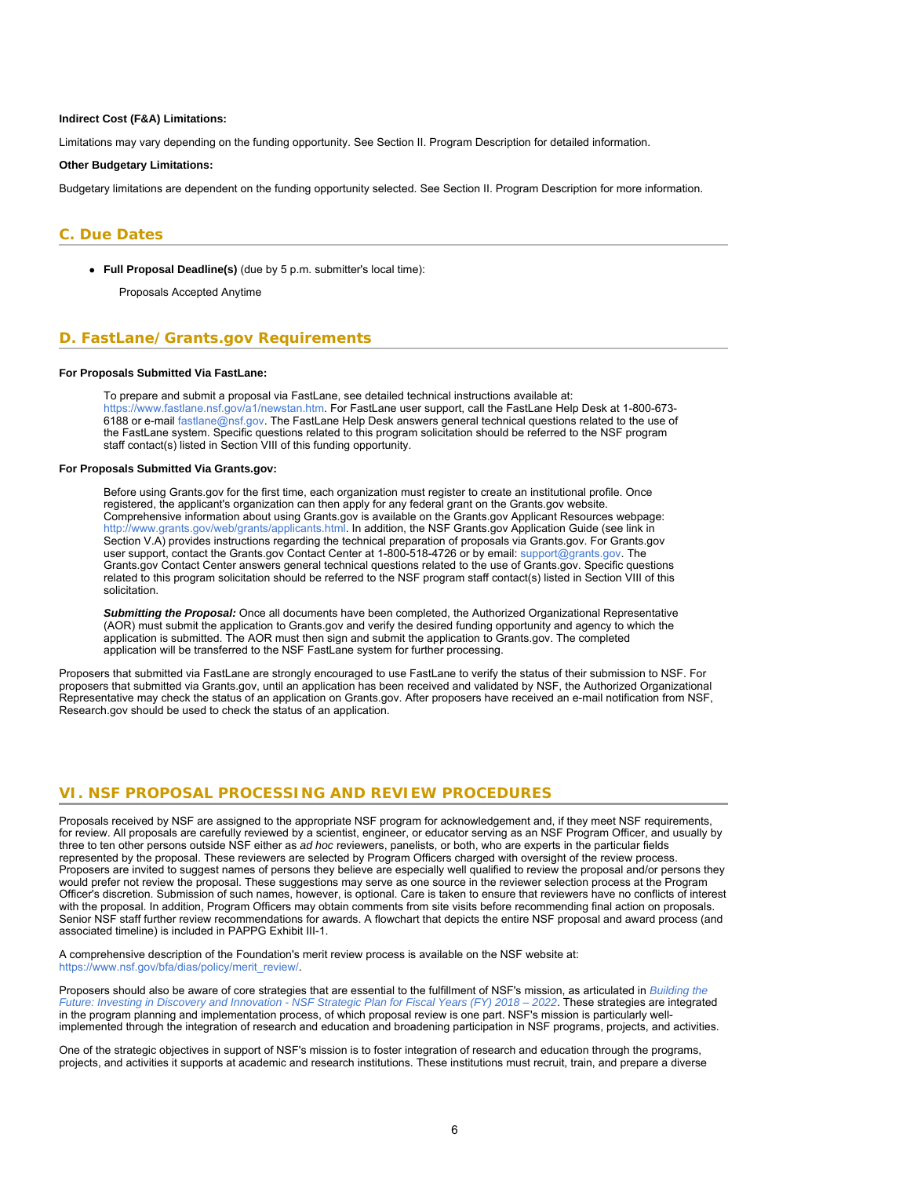#### <span id="page-5-0"></span>**Indirect Cost (F&A) Limitations:**

Limitations may vary depending on the funding opportunity. See Section II. Program Description for detailed information.

#### **Other Budgetary Limitations:**

Budgetary limitations are dependent on the funding opportunity selected. See Section II. Program Description for more information.

### **C. Due Dates**

**Full Proposal Deadline(s)** (due by 5 p.m. submitter's local time):

Proposals Accepted Anytime

### <span id="page-5-1"></span>**D. FastLane/Grants.gov Requirements**

#### **For Proposals Submitted Via FastLane:**

To prepare and submit a proposal via FastLane, see detailed technical instructions available at: <https://www.fastlane.nsf.gov/a1/newstan.htm>. For FastLane user support, call the FastLane Help Desk at 1-800-673- 6188 or e-mail [fastlane@nsf.gov](mailto:fastlane@nsf.gov). The FastLane Help Desk answers general technical questions related to the use of the FastLane system. Specific questions related to this program solicitation should be referred to the NSF program staff contact(s) listed in Section VIII of this funding opportunity.

#### **For Proposals Submitted Via Grants.gov:**

Before using Grants.gov for the first time, each organization must register to create an institutional profile. Once registered, the applicant's organization can then apply for any federal grant on the Grants.gov website. Comprehensive information about using Grants.gov is available on the Grants.gov Applicant Resources webpage: [http://www.grants.gov/web/grants/applicants.html.](http://www.grants.gov/web/grants/applicants.html) In addition, the NSF Grants.gov Application Guide (see link in Section V.A) provides instructions regarding the technical preparation of proposals via Grants.gov. For Grants.gov user support, contact the Grants.gov Contact Center at 1-800-518-4726 or by email: [support@grants.gov.](mailto:support@grants.gov) The Grants.gov Contact Center answers general technical questions related to the use of Grants.gov. Specific questions related to this program solicitation should be referred to the NSF program staff contact(s) listed in Section VIII of this solicitation.

*Submitting the Proposal:* Once all documents have been completed, the Authorized Organizational Representative (AOR) must submit the application to Grants.gov and verify the desired funding opportunity and agency to which the application is submitted. The AOR must then sign and submit the application to Grants.gov. The completed application will be transferred to the NSF FastLane system for further processing.

<span id="page-5-2"></span>Proposers that submitted via FastLane are strongly encouraged to use FastLane to verify the status of their submission to NSF. For proposers that submitted via Grants.gov, until an application has been received and validated by NSF, the Authorized Organizational Representative may check the status of an application on Grants.gov. After proposers have received an e-mail notification from NSF, Research.gov should be used to check the status of an application.

### **VI. NSF PROPOSAL PROCESSING AND REVIEW PROCEDURES**

Proposals received by NSF are assigned to the appropriate NSF program for acknowledgement and, if they meet NSF requirements, for review. All proposals are carefully reviewed by a scientist, engineer, or educator serving as an NSF Program Officer, and usually by three to ten other persons outside NSF either as *ad hoc* reviewers, panelists, or both, who are experts in the particular fields represented by the proposal. These reviewers are selected by Program Officers charged with oversight of the review process. Proposers are invited to suggest names of persons they believe are especially well qualified to review the proposal and/or persons they would prefer not review the proposal. These suggestions may serve as one source in the reviewer selection process at the Program Officer's discretion. Submission of such names, however, is optional. Care is taken to ensure that reviewers have no conflicts of interest with the proposal. In addition, Program Officers may obtain comments from site visits before recommending final action on proposals. Senior NSF staff further review recommendations for awards. A flowchart that depicts the entire NSF proposal and award process (and associated timeline) is included in PAPPG Exhibit III-1.

A comprehensive description of the Foundation's merit review process is available on the NSF website at: [https://www.nsf.gov/bfa/dias/policy/merit\\_review/](https://www.nsf.gov/bfa/dias/policy/merit_review/).

Proposers should also be aware of core strategies that are essential to the fulfillment of NSF's mission, as articulated in *[Building the](https://www.nsf.gov/publications/pub_summ.jsp?ods_key=nsf18045&org=NSF) [Future: Investing in Discovery and Innovation - NSF Strategic Plan for Fiscal Years \(FY\) 2018 – 2022](https://www.nsf.gov/publications/pub_summ.jsp?ods_key=nsf18045&org=NSF)*. These strategies are integrated in the program planning and implementation process, of which proposal review is one part. NSF's mission is particularly wellimplemented through the integration of research and education and broadening participation in NSF programs, projects, and activities.

One of the strategic objectives in support of NSF's mission is to foster integration of research and education through the programs, projects, and activities it supports at academic and research institutions. These institutions must recruit, train, and prepare a diverse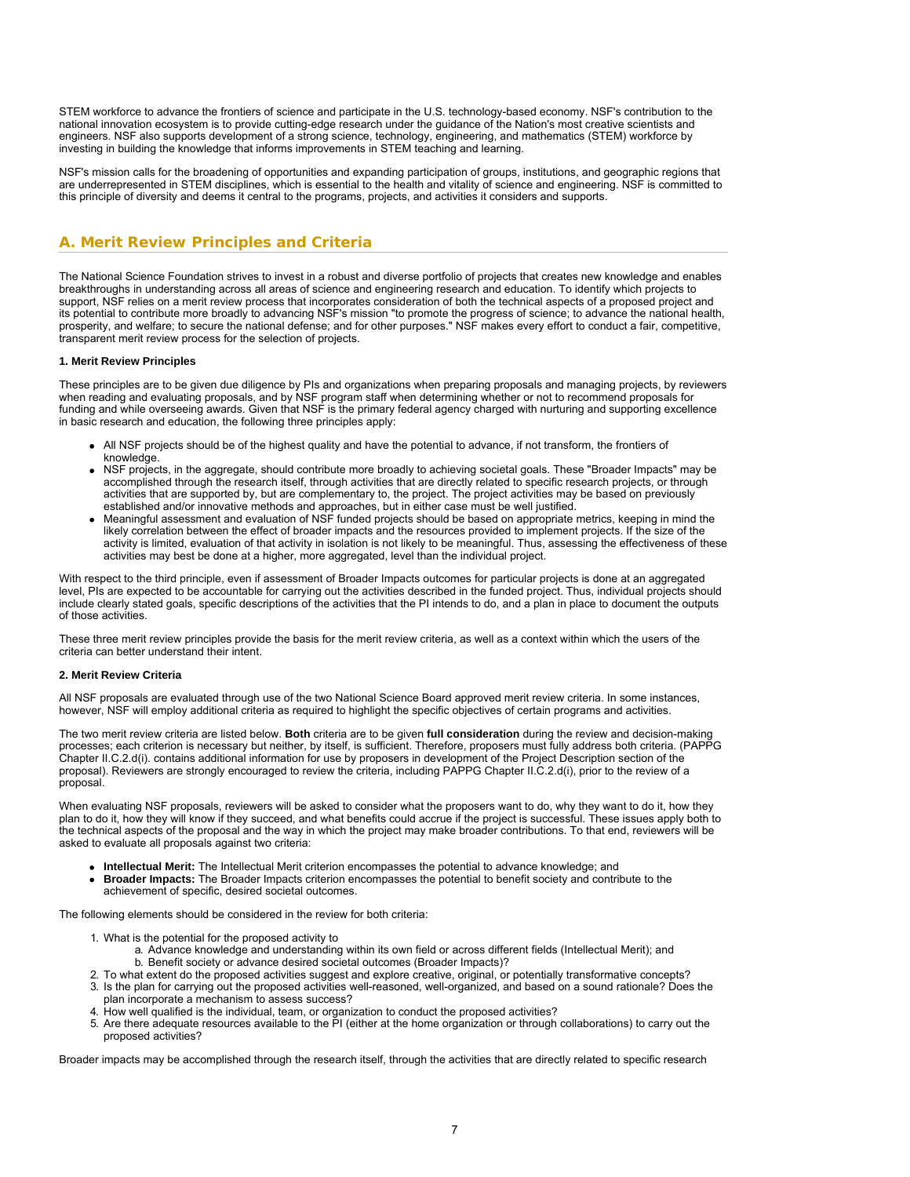STEM workforce to advance the frontiers of science and participate in the U.S. technology-based economy. NSF's contribution to the national innovation ecosystem is to provide cutting-edge research under the guidance of the Nation's most creative scientists and engineers. NSF also supports development of a strong science, technology, engineering, and mathematics (STEM) workforce by investing in building the knowledge that informs improvements in STEM teaching and learning.

<span id="page-6-0"></span>NSF's mission calls for the broadening of opportunities and expanding participation of groups, institutions, and geographic regions that are underrepresented in STEM disciplines, which is essential to the health and vitality of science and engineering. NSF is committed to this principle of diversity and deems it central to the programs, projects, and activities it considers and supports.

# **A. Merit Review Principles and Criteria**

The National Science Foundation strives to invest in a robust and diverse portfolio of projects that creates new knowledge and enables breakthroughs in understanding across all areas of science and engineering research and education. To identify which projects to support, NSF relies on a merit review process that incorporates consideration of both the technical aspects of a proposed project and its potential to contribute more broadly to advancing NSF's mission "to promote the progress of science; to advance the national health, prosperity, and welfare; to secure the national defense; and for other purposes." NSF makes every effort to conduct a fair, competitive, transparent merit review process for the selection of projects.

#### **1. Merit Review Principles**

These principles are to be given due diligence by PIs and organizations when preparing proposals and managing projects, by reviewers when reading and evaluating proposals, and by NSF program staff when determining whether or not to recommend proposals for funding and while overseeing awards. Given that NSF is the primary federal agency charged with nurturing and supporting excellence in basic research and education, the following three principles apply:

- All NSF projects should be of the highest quality and have the potential to advance, if not transform, the frontiers of knowledge.
- NSF projects, in the aggregate, should contribute more broadly to achieving societal goals. These "Broader Impacts" may be accomplished through the research itself, through activities that are directly related to specific research projects, or through activities that are supported by, but are complementary to, the project. The project activities may be based on previously established and/or innovative methods and approaches, but in either case must be well justified.
- Meaningful assessment and evaluation of NSF funded projects should be based on appropriate metrics, keeping in mind the likely correlation between the effect of broader impacts and the resources provided to implement projects. If the size of the activity is limited, evaluation of that activity in isolation is not likely to be meaningful. Thus, assessing the effectiveness of these activities may best be done at a higher, more aggregated, level than the individual project.

With respect to the third principle, even if assessment of Broader Impacts outcomes for particular projects is done at an aggregated level, PIs are expected to be accountable for carrying out the activities described in the funded project. Thus, individual projects should include clearly stated goals, specific descriptions of the activities that the PI intends to do, and a plan in place to document the outputs of those activities.

These three merit review principles provide the basis for the merit review criteria, as well as a context within which the users of the criteria can better understand their intent.

#### **2. Merit Review Criteria**

All NSF proposals are evaluated through use of the two National Science Board approved merit review criteria. In some instances, however, NSF will employ additional criteria as required to highlight the specific objectives of certain programs and activities.

The two merit review criteria are listed below. **Both** criteria are to be given **full consideration** during the review and decision-making processes; each criterion is necessary but neither, by itself, is sufficient. Therefore, proposers must fully address both criteria. (PAPPG Chapter II.C.2.d(i). contains additional information for use by proposers in development of the Project Description section of the proposal). Reviewers are strongly encouraged to review the criteria, including PAPPG Chapter II.C.2.d(i), prior to the review of a proposal.

When evaluating NSF proposals, reviewers will be asked to consider what the proposers want to do, why they want to do it, how they plan to do it, how they will know if they succeed, and what benefits could accrue if the project is successful. These issues apply both to the technical aspects of the proposal and the way in which the project may make broader contributions. To that end, reviewers will be asked to evaluate all proposals against two criteria:

**Intellectual Merit:** The Intellectual Merit criterion encompasses the potential to advance knowledge; and **Broader Impacts:** The Broader Impacts criterion encompasses the potential to benefit society and contribute to the achievement of specific, desired societal outcomes.

The following elements should be considered in the review for both criteria:

- 1. What is the potential for the proposed activity to
	- a. Advance knowledge and understanding within its own field or across different fields (Intellectual Merit); and b. Benefit society or advance desired societal outcomes (Broader Impacts)?
- 2. To what extent do the proposed activities suggest and explore creative, original, or potentially transformative concepts?
- 3. Is the plan for carrying out the proposed activities well-reasoned, well-organized, and based on a sound rationale? Does the plan incorporate a mechanism to assess success?
- 4. How well qualified is the individual, team, or organization to conduct the proposed activities?
- 5. Are there adequate resources available to the PI (either at the home organization or through collaborations) to carry out the proposed activities?

Broader impacts may be accomplished through the research itself, through the activities that are directly related to specific research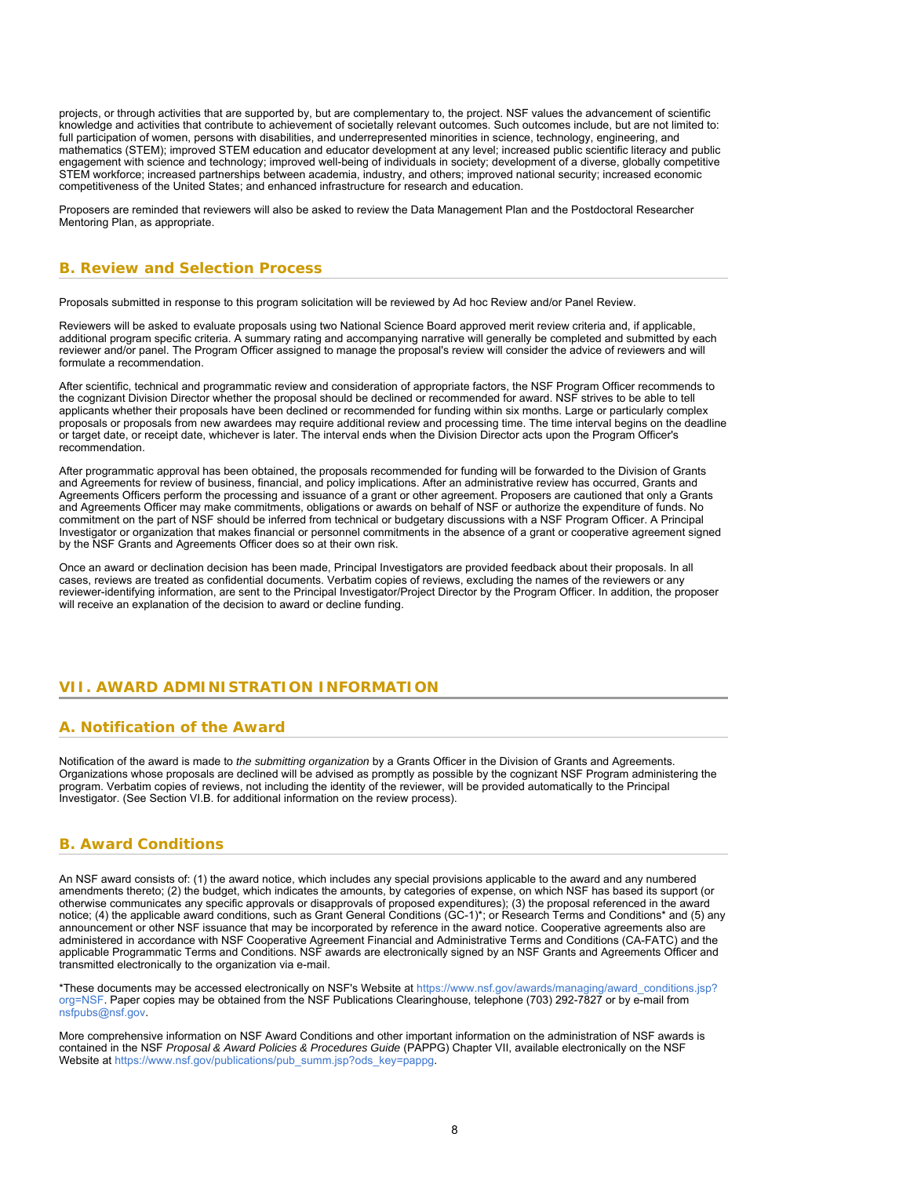projects, or through activities that are supported by, but are complementary to, the project. NSF values the advancement of scientific knowledge and activities that contribute to achievement of societally relevant outcomes. Such outcomes include, but are not limited to: full participation of women, persons with disabilities, and underrepresented minorities in science, technology, engineering, and mathematics (STEM); improved STEM education and educator development at any level; increased public scientific literacy and public engagement with science and technology; improved well-being of individuals in society; development of a diverse, globally competitive STEM workforce; increased partnerships between academia, industry, and others; improved national security; increased economic competitiveness of the United States; and enhanced infrastructure for research and education.

<span id="page-7-0"></span>Proposers are reminded that reviewers will also be asked to review the Data Management Plan and the Postdoctoral Researcher Mentoring Plan, as appropriate.

## **B. Review and Selection Process**

Proposals submitted in response to this program solicitation will be reviewed by Ad hoc Review and/or Panel Review.

Reviewers will be asked to evaluate proposals using two National Science Board approved merit review criteria and, if applicable, additional program specific criteria. A summary rating and accompanying narrative will generally be completed and submitted by each reviewer and/or panel. The Program Officer assigned to manage the proposal's review will consider the advice of reviewers and will formulate a recommendation.

After scientific, technical and programmatic review and consideration of appropriate factors, the NSF Program Officer recommends to the cognizant Division Director whether the proposal should be declined or recommended for award. NSF strives to be able to tell applicants whether their proposals have been declined or recommended for funding within six months. Large or particularly complex proposals or proposals from new awardees may require additional review and processing time. The time interval begins on the deadline or target date, or receipt date, whichever is later. The interval ends when the Division Director acts upon the Program Officer's recommendation.

After programmatic approval has been obtained, the proposals recommended for funding will be forwarded to the Division of Grants and Agreements for review of business, financial, and policy implications. After an administrative review has occurred, Grants and Agreements Officers perform the processing and issuance of a grant or other agreement. Proposers are cautioned that only a Grants and Agreements Officer may make commitments, obligations or awards on behalf of NSF or authorize the expenditure of funds. No commitment on the part of NSF should be inferred from technical or budgetary discussions with a NSF Program Officer. A Principal Investigator or organization that makes financial or personnel commitments in the absence of a grant or cooperative agreement signed by the NSF Grants and Agreements Officer does so at their own risk.

<span id="page-7-1"></span>Once an award or declination decision has been made, Principal Investigators are provided feedback about their proposals. In all cases, reviews are treated as confidential documents. Verbatim copies of reviews, excluding the names of the reviewers or any reviewer-identifying information, are sent to the Principal Investigator/Project Director by the Program Officer. In addition, the proposer will receive an explanation of the decision to award or decline funding.

# <span id="page-7-2"></span>**VII. AWARD ADMINISTRATION INFORMATION**

### **A. Notification of the Award**

Notification of the award is made to *the submitting organization* by a Grants Officer in the Division of Grants and Agreements. Organizations whose proposals are declined will be advised as promptly as possible by the cognizant NSF Program administering the program. Verbatim copies of reviews, not including the identity of the reviewer, will be provided automatically to the Principal Investigator. (See Section VI.B. for additional information on the review process).

### <span id="page-7-3"></span>**B. Award Conditions**

An NSF award consists of: (1) the award notice, which includes any special provisions applicable to the award and any numbered amendments thereto; (2) the budget, which indicates the amounts, by categories of expense, on which NSF has based its support (or otherwise communicates any specific approvals or disapprovals of proposed expenditures); (3) the proposal referenced in the award notice; (4) the applicable award conditions, such as Grant General Conditions (GC-1)\*; or Research Terms and Conditions\* and (5) any announcement or other NSF issuance that may be incorporated by reference in the award notice. Cooperative agreements also are administered in accordance with NSF Cooperative Agreement Financial and Administrative Terms and Conditions (CA-FATC) and the applicable Programmatic Terms and Conditions. NSF awards are electronically signed by an NSF Grants and Agreements Officer and transmitted electronically to the organization via e-mail.

\*These documents may be accessed electronically on NSF's Website at [https://www.nsf.gov/awards/managing/award\\_conditions.jsp?](https://www.nsf.gov/awards/managing/award_conditions.jsp?org=NSF) [org=NSF.](https://www.nsf.gov/awards/managing/award_conditions.jsp?org=NSF) Paper copies may be obtained from the NSF Publications Clearinghouse, telephone (703) 292-7827 or by e-mail from [nsfpubs@nsf.gov.](mailto:nsfpubs@nsf.gov)

More comprehensive information on NSF Award Conditions and other important information on the administration of NSF awards is contained in the NSF *Proposal & Award Policies & Procedures Guide* (PAPPG) Chapter VII, available electronically on the NSF Website at [https://www.nsf.gov/publications/pub\\_summ.jsp?ods\\_key=pappg](https://www.nsf.gov/publications/pub_summ.jsp?ods_key=pappg).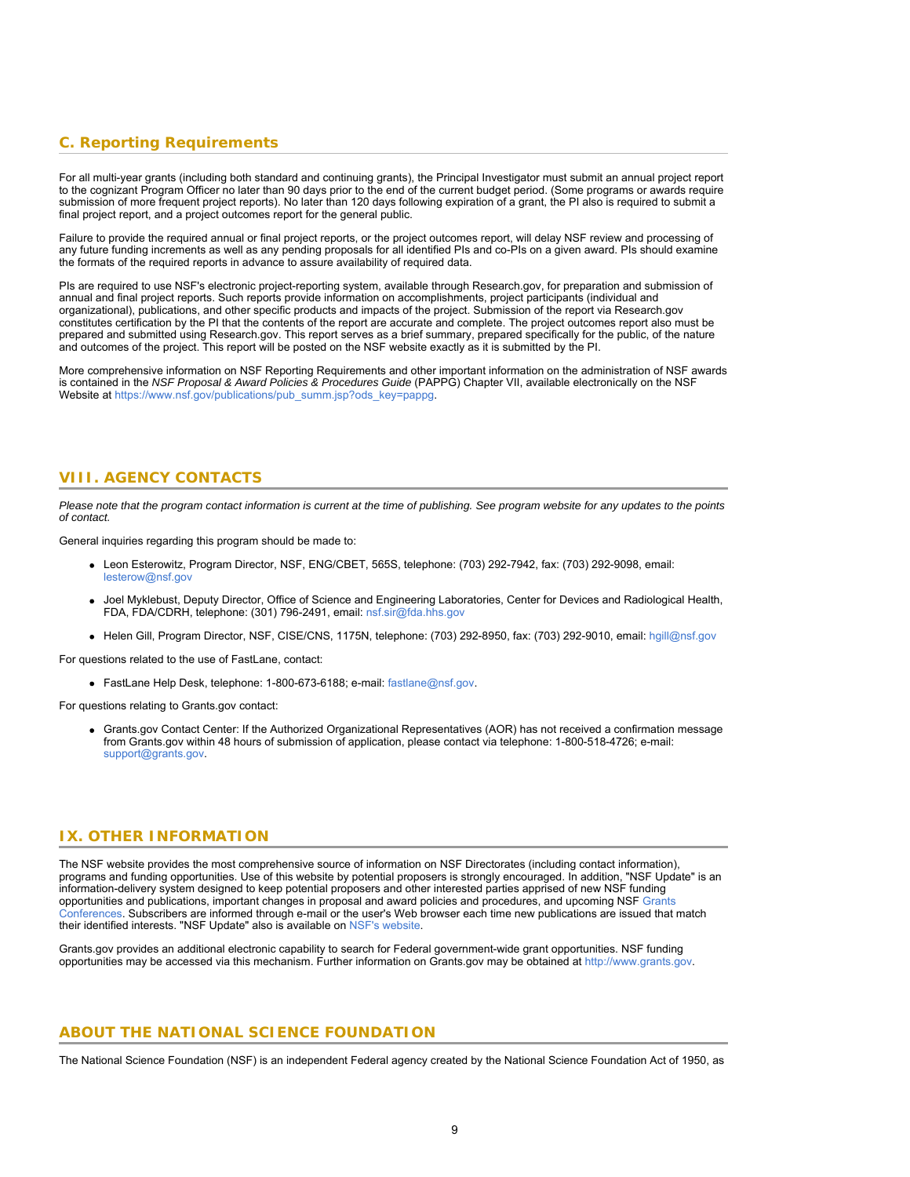# <span id="page-8-0"></span>**C. Reporting Requirements**

For all multi-year grants (including both standard and continuing grants), the Principal Investigator must submit an annual project report to the cognizant Program Officer no later than 90 days prior to the end of the current budget period. (Some programs or awards require submission of more frequent project reports). No later than 120 days following expiration of a grant, the PI also is required to submit a final project report, and a project outcomes report for the general public.

Failure to provide the required annual or final project reports, or the project outcomes report, will delay NSF review and processing of any future funding increments as well as any pending proposals for all identified PIs and co-PIs on a given award. PIs should examine the formats of the required reports in advance to assure availability of required data.

PIs are required to use NSF's electronic project-reporting system, available through Research.gov, for preparation and submission of annual and final project reports. Such reports provide information on accomplishments, project participants (individual and organizational), publications, and other specific products and impacts of the project. Submission of the report via Research.gov constitutes certification by the PI that the contents of the report are accurate and complete. The project outcomes report also must be prepared and submitted using Research.gov. This report serves as a brief summary, prepared specifically for the public, of the nature and outcomes of the project. This report will be posted on the NSF website exactly as it is submitted by the PI.

<span id="page-8-1"></span>More comprehensive information on NSF Reporting Requirements and other important information on the administration of NSF awards is contained in the *NSF Proposal & Award Policies & Procedures Guide* (PAPPG) Chapter VII, available electronically on the NSF Website at [https://www.nsf.gov/publications/pub\\_summ.jsp?ods\\_key=pappg](https://www.nsf.gov/publications/pub_summ.jsp?ods_key=pappg).

### **VIII. AGENCY CONTACTS**

*Please note that the program contact information is current at the time of publishing. See program website for any updates to the points of contact.*

General inquiries regarding this program should be made to:

- Leon Esterowitz, Program Director, NSF, ENG/CBET, 565S, telephone: (703) 292-7942, fax: (703) 292-9098, email: [lesterow@nsf.gov](mailto:lesterow@nsf.gov)
- Joel Myklebust, Deputy Director, Office of Science and Engineering Laboratories, Center for Devices and Radiological Health, FDA, FDA/CDRH, telephone: (301) 796-2491, email: [nsf.sir@fda.hhs.gov](mailto:nsf.sir@fda.hhs.gov)
- Helen Gill, Program Director, NSF, CISE/CNS, 1175N, telephone: (703) 292-8950, fax: (703) 292-9010, email: [hgill@nsf.gov](mailto:hgill@nsf.gov)

For questions related to the use of FastLane, contact:

FastLane Help Desk, telephone: 1-800-673-6188; e-mail: [fastlane@nsf.gov](mailto:fastlane@nsf.gov).

<span id="page-8-2"></span>For questions relating to Grants.gov contact:

Grants.gov Contact Center: If the Authorized Organizational Representatives (AOR) has not received a confirmation message from Grants.gov within 48 hours of submission of application, please contact via telephone: 1-800-518-4726; e-mail: [support@grants.gov.](mailto:support@grants.gov)

### **IX. OTHER INFORMATION**

The NSF website provides the most comprehensive source of information on NSF Directorates (including contact information), programs and funding opportunities. Use of this website by potential proposers is strongly encouraged. In addition, "NSF Update" is an information-delivery system designed to keep potential proposers and other interested parties apprised of new NSF funding opportunities and publications, important changes in proposal and award policies and procedures, and upcoming NSF [Grants](https://www.nsf.gov/bfa/dias/policy/outreach.jsp) [Conferences](https://www.nsf.gov/bfa/dias/policy/outreach.jsp). Subscribers are informed through e-mail or the user's Web browser each time new publications are issued that match their identified interests. "NSF Update" also is available on [NSF's website](https://www.nsf.gov/cgi-bin/goodbye?https://public.govdelivery.com/accounts/USNSF/subscriber/new?topic_id=USNSF_179).

Grants.gov provides an additional electronic capability to search for Federal government-wide grant opportunities. NSF funding opportunities may be accessed via this mechanism. Further information on Grants.gov may be obtained at [http://www.grants.gov](http://www.grants.gov/).

### **ABOUT THE NATIONAL SCIENCE FOUNDATION**

The National Science Foundation (NSF) is an independent Federal agency created by the National Science Foundation Act of 1950, as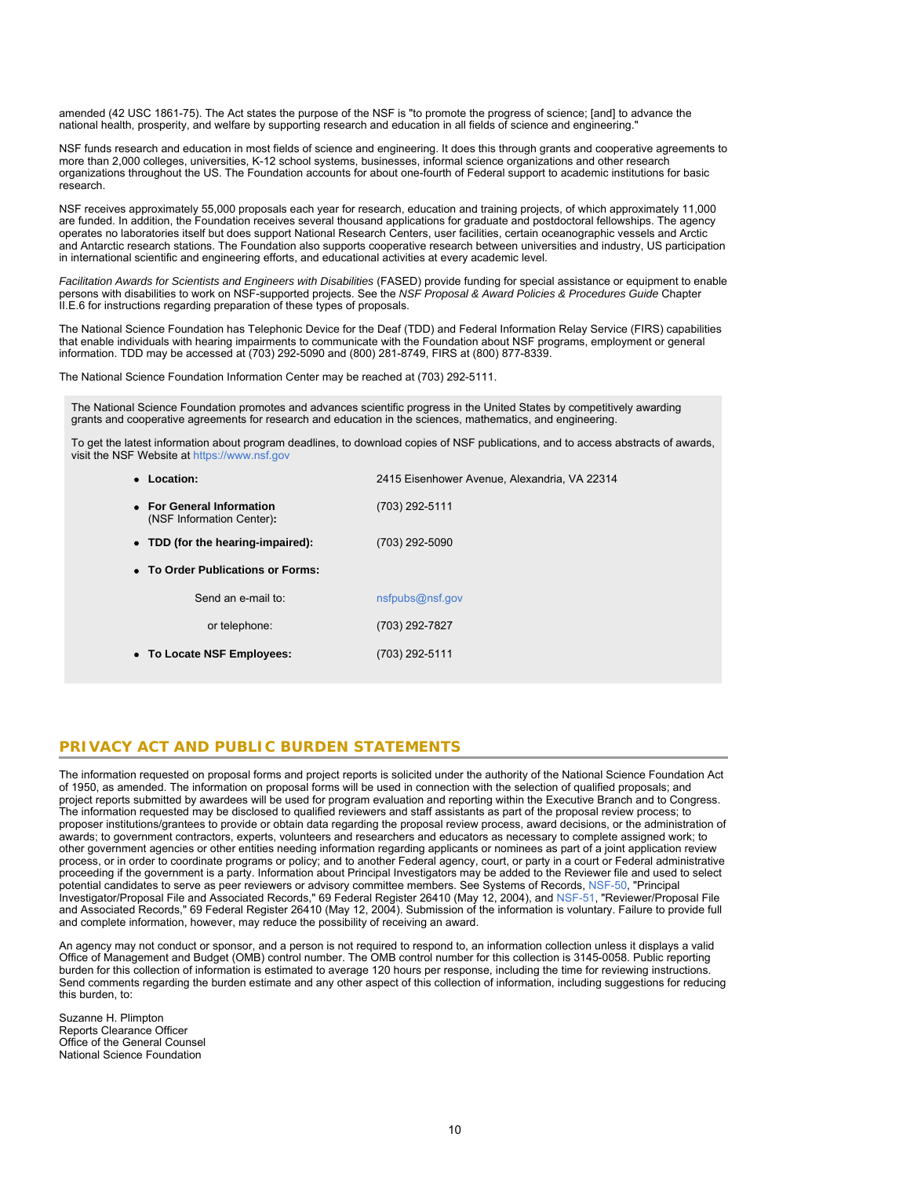amended (42 USC 1861-75). The Act states the purpose of the NSF is "to promote the progress of science; [and] to advance the national health, prosperity, and welfare by supporting research and education in all fields of science and engineering."

NSF funds research and education in most fields of science and engineering. It does this through grants and cooperative agreements to more than 2,000 colleges, universities, K-12 school systems, businesses, informal science organizations and other research organizations throughout the US. The Foundation accounts for about one-fourth of Federal support to academic institutions for basic research.

NSF receives approximately 55,000 proposals each year for research, education and training projects, of which approximately 11,000 are funded. In addition, the Foundation receives several thousand applications for graduate and postdoctoral fellowships. The agency operates no laboratories itself but does support National Research Centers, user facilities, certain oceanographic vessels and Arctic and Antarctic research stations. The Foundation also supports cooperative research between universities and industry, US participation in international scientific and engineering efforts, and educational activities at every academic level.

*Facilitation Awards for Scientists and Engineers with Disabilities* (FASED) provide funding for special assistance or equipment to enable persons with disabilities to work on NSF-supported projects. See the *NSF Proposal & Award Policies & Procedures Guide* Chapter II.E.6 for instructions regarding preparation of these types of proposals.

The National Science Foundation has Telephonic Device for the Deaf (TDD) and Federal Information Relay Service (FIRS) capabilities that enable individuals with hearing impairments to communicate with the Foundation about NSF programs, employment or general information. TDD may be accessed at (703) 292-5090 and (800) 281-8749, FIRS at (800) 877-8339.

The National Science Foundation Information Center may be reached at (703) 292-5111.

The National Science Foundation promotes and advances scientific progress in the United States by competitively awarding grants and cooperative agreements for research and education in the sciences, mathematics, and engineering.

To get the latest information about program deadlines, to download copies of NSF publications, and to access abstracts of awards, visit the NSF Website at [https://www.nsf.gov](https://www.nsf.gov/)

| 2415 Eisenhower Avenue, Alexandria, VA 22314 |  |  |  |  |  |  |
|----------------------------------------------|--|--|--|--|--|--|
| (703) 292-5111                               |  |  |  |  |  |  |
| (703) 292-5090                               |  |  |  |  |  |  |
|                                              |  |  |  |  |  |  |
| nsfpubs@nsf.gov                              |  |  |  |  |  |  |
| (703) 292-7827                               |  |  |  |  |  |  |
| (703) 292-5111                               |  |  |  |  |  |  |
|                                              |  |  |  |  |  |  |

# **PRIVACY ACT AND PUBLIC BURDEN STATEMENTS**

The information requested on proposal forms and project reports is solicited under the authority of the National Science Foundation Act of 1950, as amended. The information on proposal forms will be used in connection with the selection of qualified proposals; and project reports submitted by awardees will be used for program evaluation and reporting within the Executive Branch and to Congress. The information requested may be disclosed to qualified reviewers and staff assistants as part of the proposal review process; to proposer institutions/grantees to provide or obtain data regarding the proposal review process, award decisions, or the administration of awards; to government contractors, experts, volunteers and researchers and educators as necessary to complete assigned work; to other government agencies or other entities needing information regarding applicants or nominees as part of a joint application review process, or in order to coordinate programs or policy; and to another Federal agency, court, or party in a court or Federal administrative proceeding if the government is a party. Information about Principal Investigators may be added to the Reviewer file and used to select potential candidates to serve as peer reviewers or advisory committee members. See Systems of Records, [NSF-50,](https://www.nsf.gov/policies/SOR_PA_NSF-50_Principal_Investigator_Proposal_File.pdf) "Principal Investigator/Proposal File and Associated Records," 69 Federal Register 26410 (May 12, 2004), and [NSF-51](https://www.nsf.gov/policies/SOR_PA_NSF-51_Reviewer_Proposal_File.pdf), "Reviewer/Proposal File and Associated Records," 69 Federal Register 26410 (May 12, 2004). Submission of the information is voluntary. Failure to provide full and complete information, however, may reduce the possibility of receiving an award.

An agency may not conduct or sponsor, and a person is not required to respond to, an information collection unless it displays a valid Office of Management and Budget (OMB) control number. The OMB control number for this collection is 3145-0058. Public reporting burden for this collection of information is estimated to average 120 hours per response, including the time for reviewing instructions. Send comments regarding the burden estimate and any other aspect of this collection of information, including suggestions for reducing this burden, to:

Suzanne H. Plimpton Reports Clearance Officer Office of the General Counsel National Science Foundation